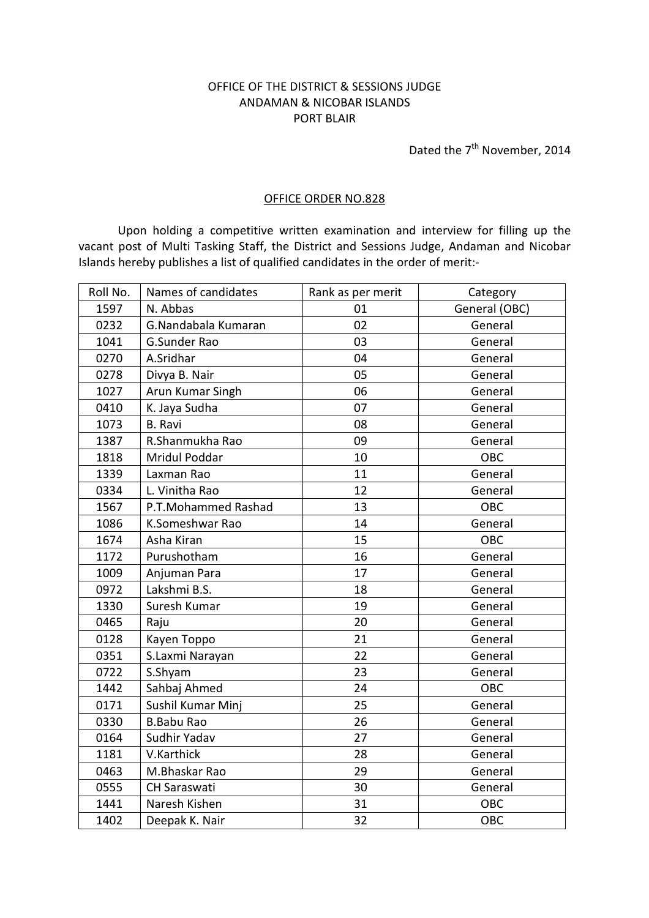## OFFICE OF THE DISTRICT & SESSIONS JUDGE ANDAMAN & NICOBAR ISLANDS PORT BLAIR

Dated the 7<sup>th</sup> November, 2014

## OFFICE ORDER NO.828

 Upon holding a competitive written examination and interview for filling up the vacant post of Multi Tasking Staff, the District and Sessions Judge, Andaman and Nicobar Islands hereby publishes a list of qualified candidates in the order of merit:-

| Roll No. | Names of candidates | Rank as per merit | Category      |
|----------|---------------------|-------------------|---------------|
| 1597     | N. Abbas            | 01                | General (OBC) |
| 0232     | G.Nandabala Kumaran | 02                | General       |
| 1041     | <b>G.Sunder Rao</b> | 03                | General       |
| 0270     | A.Sridhar           | 04                | General       |
| 0278     | Divya B. Nair       | 05                | General       |
| 1027     | Arun Kumar Singh    | 06                | General       |
| 0410     | K. Jaya Sudha       | 07                | General       |
| 1073     | <b>B.</b> Ravi      | 08                | General       |
| 1387     | R.Shanmukha Rao     | 09                | General       |
| 1818     | Mridul Poddar       | 10                | OBC           |
| 1339     | Laxman Rao          | 11                | General       |
| 0334     | L. Vinitha Rao      | 12                | General       |
| 1567     | P.T.Mohammed Rashad | 13                | <b>OBC</b>    |
| 1086     | K.Someshwar Rao     | 14                | General       |
| 1674     | Asha Kiran          | 15                | <b>OBC</b>    |
| 1172     | Purushotham         | 16                | General       |
| 1009     | Anjuman Para        | 17                | General       |
| 0972     | Lakshmi B.S.        | 18                | General       |
| 1330     | Suresh Kumar        | 19                | General       |
| 0465     | Raju                | 20                | General       |
| 0128     | Kayen Toppo         | 21                | General       |
| 0351     | S.Laxmi Narayan     | 22                | General       |
| 0722     | S.Shyam             | 23                | General       |
| 1442     | Sahbaj Ahmed        | 24                | OBC           |
| 0171     | Sushil Kumar Minj   | 25                | General       |
| 0330     | <b>B.Babu Rao</b>   | 26                | General       |
| 0164     | Sudhir Yadav        | 27                | General       |
| 1181     | V.Karthick          | 28                | General       |
| 0463     | M.Bhaskar Rao       | 29                | General       |
| 0555     | <b>CH Saraswati</b> | 30                | General       |
| 1441     | Naresh Kishen       | 31                | OBC           |
| 1402     | Deepak K. Nair      | 32                | OBC           |